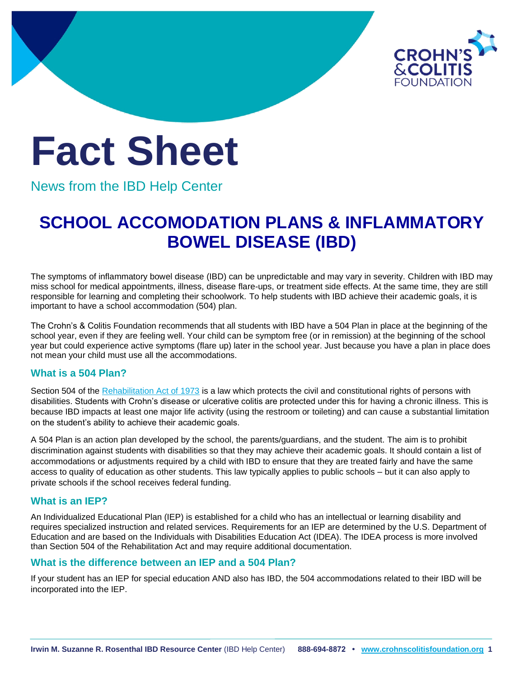

# **Fact Sheet**

News from the IBD Help Center

# **SCHOOL ACCOMODATION PLANS & INFLAMMATORY BOWEL DISEASE (IBD)**

The symptoms of inflammatory bowel disease (IBD) can be unpredictable and may vary in severity. Children with IBD may miss school for medical appointments, illness, disease flare-ups, or treatment side effects. At the same time, they are still responsible for learning and completing their schoolwork. To help students with IBD achieve their academic goals, it is important to have a school accommodation (504) plan.

The Crohn's & Colitis Foundation recommends that all students with IBD have a 504 Plan in place at the beginning of the school year, even if they are feeling well. Your child can be symptom free (or in remission) at the beginning of the school year but could experience active symptoms (flare up) later in the school year. Just because you have a plan in place does not mean your child must use all the accommodations.

## **What is a 504 Plan?**

Section 504 of the [Rehabilitation Act of 1973](https://www2.ed.gov/policy/speced/reg/narrative.html) is a law which protects the civil and constitutional rights of persons with disabilities. Students with Crohn's disease or ulcerative colitis are protected under this for having a chronic illness. This is because IBD impacts at least one major life activity (using the restroom or toileting) and can cause a substantial limitation on the student's ability to achieve their academic goals.

A 504 Plan is an action plan developed by the school, the parents/guardians, and the student. The aim is to prohibit discrimination against students with disabilities so that they may achieve their academic goals. It should contain a list of accommodations or adjustments required by a child with IBD to ensure that they are treated fairly and have the same access to quality of education as other students. This law typically applies to public schools – but it can also apply to private schools if the school receives federal funding.

#### **What is an IEP?**

An Individualized Educational Plan (IEP) is established for a child who has an intellectual or learning disability and requires specialized instruction and related services. Requirements for an IEP are determined by the U.S. Department of Education and are based on the Individuals with Disabilities Education Act (IDEA). The IDEA process is more involved than Section 504 of the Rehabilitation Act and may require additional documentation.

#### **What is the difference between an IEP and a 504 Plan?**

If your student has an IEP for special education AND also has IBD, the 504 accommodations related to their IBD will be incorporated into the IEP.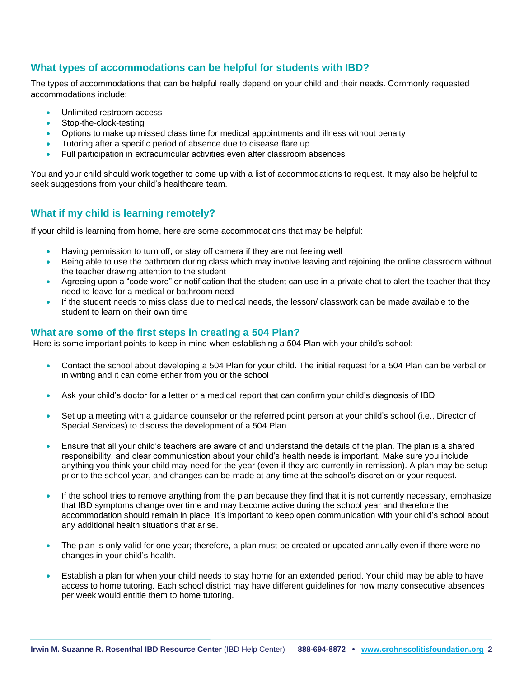#### **What types of accommodations can be helpful for students with IBD?**

The types of accommodations that can be helpful really depend on your child and their needs. Commonly requested accommodations include:

- Unlimited restroom access
- Stop-the-clock-testing
- Options to make up missed class time for medical appointments and illness without penalty
- Tutoring after a specific period of absence due to disease flare up
- Full participation in extracurricular activities even after classroom absences

You and your child should work together to come up with a list of accommodations to request. It may also be helpful to seek suggestions from your child's healthcare team.

#### **What if my child is learning remotely?**

If your child is learning from home, here are some accommodations that may be helpful:

- Having permission to turn off, or stay off camera if they are not feeling well
- Being able to use the bathroom during class which may involve leaving and rejoining the online classroom without the teacher drawing attention to the student
- Agreeing upon a "code word" or notification that the student can use in a private chat to alert the teacher that they need to leave for a medical or bathroom need
- If the student needs to miss class due to medical needs, the lesson/ classwork can be made available to the student to learn on their own time

#### **What are some of the first steps in creating a 504 Plan?**

Here is some important points to keep in mind when establishing a 504 Plan with your child's school:

- Contact the school about developing a 504 Plan for your child. The initial request for a 504 Plan can be verbal or in writing and it can come either from you or the school
- Ask your child's doctor for a letter or a medical report that can confirm your child's diagnosis of IBD
- Set up a meeting with a guidance counselor or the referred point person at your child's school (i.e., Director of Special Services) to discuss the development of a 504 Plan
- Ensure that all your child's teachers are aware of and understand the details of the plan. The plan is a shared responsibility, and clear communication about your child's health needs is important. Make sure you include anything you think your child may need for the year (even if they are currently in remission). A plan may be setup prior to the school year, and changes can be made at any time at the school's discretion or your request.
- If the school tries to remove anything from the plan because they find that it is not currently necessary, emphasize that IBD symptoms change over time and may become active during the school year and therefore the accommodation should remain in place. It's important to keep open communication with your child's school about any additional health situations that arise.
- The plan is only valid for one year; therefore, a plan must be created or updated annually even if there were no changes in your child's health.
- Establish a plan for when your child needs to stay home for an extended period. Your child may be able to have access to home tutoring. Each school district may have different guidelines for how many consecutive absences per week would entitle them to home tutoring.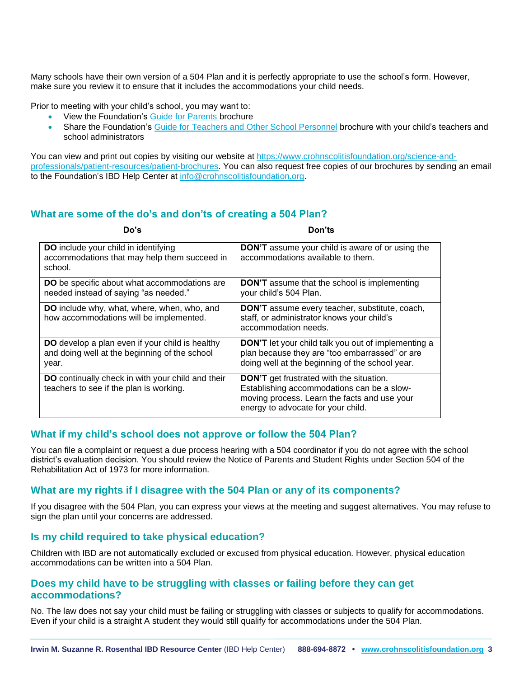Many schools have their own version of a 504 Plan and it is perfectly appropriate to use the school's form. However, make sure you review it to ensure that it includes the accommodations your child needs.

Prior to meeting with your child's school, you may want to:

- View the Foundation's [Guide for Parents b](https://issuu.com/ccfa1/docs/parents-guide-brochure-final?fr=sYzIzNTM3MDAxNzI)rochure
- Share the Foundation's [Guide for Teachers and Other School Personnel](https://issuu.com/ccfa1/docs/parents-guide-brochure-final?fr=sYzIzNTM3MDAxNzI) brochure with your child's teachers and school administrators

You can view and print out copies by visiting our website at [https://www.crohnscolitisfoundation.org/science-and](https://www.crohnscolitisfoundation.org/science-and-professionals/patient-resources/patient-brochures)[professionals/patient-resources/patient-brochures.](https://www.crohnscolitisfoundation.org/science-and-professionals/patient-resources/patient-brochures) You can also request free copies of our brochures by sending an email to the Foundation's IBD Help Center at [info@crohnscolitisfoundation.org.](mailto:info@crohnscolitisfoundation.org)

## **What are some of the do's and don'ts of creating a 504 Plan?**

| Do's                                                                                                             | Don'ts                                                                                                                                                                              |
|------------------------------------------------------------------------------------------------------------------|-------------------------------------------------------------------------------------------------------------------------------------------------------------------------------------|
| DO include your child in identifying<br>accommodations that may help them succeed in<br>school.                  | <b>DON'T</b> assume your child is aware of or using the<br>accommodations available to them.                                                                                        |
| DO be specific about what accommodations are<br>needed instead of saying "as needed."                            | <b>DON'T</b> assume that the school is implementing<br>your child's 504 Plan.                                                                                                       |
| DO include why, what, where, when, who, and<br>how accommodations will be implemented.                           | <b>DON'T</b> assume every teacher, substitute, coach,<br>staff, or administrator knows your child's<br>accommodation needs.                                                         |
| <b>DO</b> develop a plan even if your child is healthy<br>and doing well at the beginning of the school<br>year. | <b>DON'T</b> let your child talk you out of implementing a<br>plan because they are "too embarrassed" or are<br>doing well at the beginning of the school year.                     |
| DO continually check in with your child and their<br>teachers to see if the plan is working.                     | <b>DON'T</b> get frustrated with the situation.<br>Establishing accommodations can be a slow-<br>moving process. Learn the facts and use your<br>energy to advocate for your child. |

#### **What if my child's school does not approve or follow the 504 Plan?**

You can file a complaint or request a due process hearing with a 504 coordinator if you do not agree with the school district's evaluation decision. You should review the Notice of Parents and Student Rights under Section 504 of the Rehabilitation Act of 1973 for more information.

#### **What are my rights if I disagree with the 504 Plan or any of its components?**

If you disagree with the 504 Plan, you can express your views at the meeting and suggest alternatives. You may refuse to sign the plan until your concerns are addressed.

#### **Is my child required to take physical education?**

Children with IBD are not automatically excluded or excused from physical education. However, physical education accommodations can be written into a 504 Plan.

#### **Does my child have to be struggling with classes or failing before they can get accommodations?**

No. The law does not say your child must be failing or struggling with classes or subjects to qualify for accommodations. Even if your child is a straight A student they would still qualify for accommodations under the 504 Plan.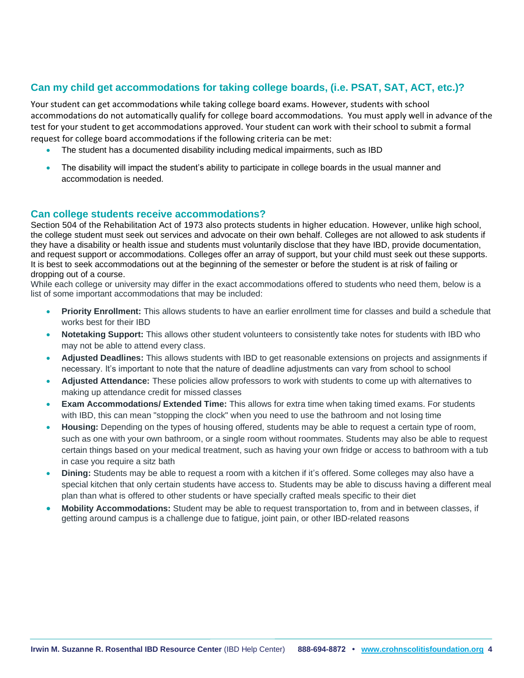# **Can my child get accommodations for taking college boards, (i.e. PSAT, SAT, ACT, etc.)?**

Your student can get accommodations while taking college board exams. However, students with school accommodations do not automatically qualify for college board accommodations. You must apply well in advance of the test for your student to get accommodations approved. Your student can work with their school to submit a formal request for college board accommodations if the following criteria can be met:

- The student has a documented disability including medical impairments, such as IBD
- The disability will impact the student's ability to participate in college boards in the usual manner and accommodation is needed.

#### **Can college students receive accommodations?**

Section 504 of the Rehabilitation Act of 1973 also protects students in higher education. However, unlike high school, the college student must seek out services and advocate on their own behalf. Colleges are not allowed to ask students if they have a disability or health issue and students must voluntarily disclose that they have IBD, provide documentation, and request support or accommodations. Colleges offer an array of support, but your child must seek out these supports. It is best to seek accommodations out at the beginning of the semester or before the student is at risk of failing or dropping out of a course.

While each college or university may differ in the exact accommodations offered to students who need them, below is a list of some important accommodations that may be included:

- **Priority Enrollment:** This allows students to have an earlier enrollment time for classes and build a schedule that works best for their IBD
- **Notetaking Support:** This allows other student volunteers to consistently take notes for students with IBD who may not be able to attend every class.
- **Adjusted Deadlines:** This allows students with IBD to get reasonable extensions on projects and assignments if necessary. It's important to note that the nature of deadline adjustments can vary from school to school
- **Adjusted Attendance:** These policies allow professors to work with students to come up with alternatives to making up attendance credit for missed classes
- **Exam Accommodations/ Extended Time:** This allows for extra time when taking timed exams. For students with IBD, this can mean "stopping the clock" when you need to use the bathroom and not losing time
- **Housing:** Depending on the types of housing offered, students may be able to request a certain type of room, such as one with your own bathroom, or a single room without roommates. Students may also be able to request certain things based on your medical treatment, such as having your own fridge or access to bathroom with a tub in case you require a sitz bath
- **Dining:** Students may be able to request a room with a kitchen if it's offered. Some colleges may also have a special kitchen that only certain students have access to. Students may be able to discuss having a different meal plan than what is offered to other students or have specially crafted meals specific to their diet
- **Mobility Accommodations:** Student may be able to request transportation to, from and in between classes, if getting around campus is a challenge due to fatigue, joint pain, or other IBD-related reasons